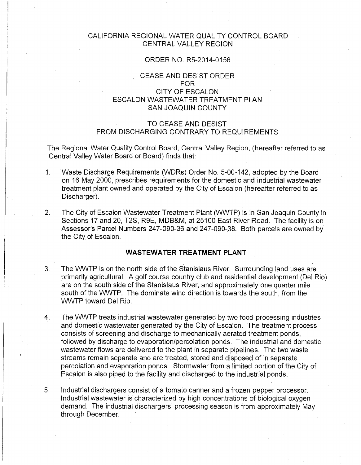## CALIFORNIA REGIONAL WATER QUALITY CONTROL BOARD CENTRAL VALLEY REGION

## ORDER NO: R5-2014-0156

# CEASE AND DESIST ORDER FOR CITY OF ESCALON ESCALON WASTEWATER TREATMENT PLAN SAN JOAQUIN COUNTY

# TO CEASE AND DESIST FROM DISCHARGING CONTRARY TO REQUIREMENTS

The Regional Water Quality Control Board, Central Valley Region, (hereafter referred to as Central Valley Water Board or Board) finds that:

- 1. Waste Discharge Requirements (WDRs) Order No. 5-00-142, adopted by the Board on 16 May 2000, prescribes requirements for the domestic and industrial wastewater treatment plant owned and operated by the City of Escalon (hereafter referred to as Discharger).
- 2. The City of Escalon Wastewater Treatment Plant (WWTP) is in San Joaquin County in Sections 17 and 20, T2S, R9E, MDB&M, at 25100 East River Road. The facility is on Assessor's Parcel Numbers 247-090-36 and 247-090-38. Both parcels are owned by the City of Escalon.

### **WASTEWATER TREATMENT PLANT**

- 3. The WWTP is on the north side of the Stanislaus River. Surrounding land uses are primarily agricultural. A golf course country club and residential development (Del Rio) are on the south side of the Stanislaus River, and approximately one quarter mile south of the WWTP. The dominate wind direction is towards the south, from the WWTP toward Del Rio.
- 4. The WWTP treats industrial wastewater generated by two food processing industries and domestic wastewater generated by the City of Escalon. The treatment process consists of screening and discharge to mechanically aerated treatment ponds, followed by discharge to evaporation/percolation ponds. The industrial and domestic wastewater flows are delivered to the plant in separate pipelines. The two waste streams remain separate and are treated, stored and disposed of in separate percolation and evaporation ponds. Stormwater from a limited portion of the City of Escalon is also piped to the facility and discharged to the industrial ponds.
- 5. Industrial dischargers consist of a tomato canner and a frozen pepper processor. Industrial wastewater is characterized by high concentrations of biological oxygen demand. The industrial dischargers' processing season is from approximately May through December.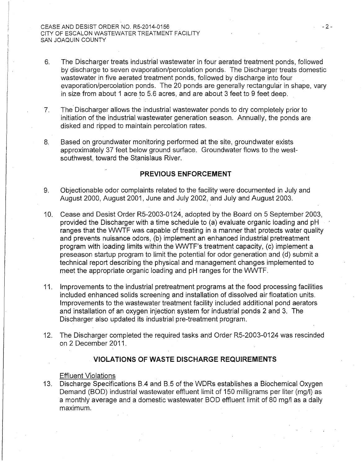- 6. The Discharger treats industrial wastewater in four aerated treatment ponds, followed by discharge to seven evaporation/percolation ponds. The Discharger treats domestic wastewater in five aerated treatment ponds, followed by discharge into four evaporation/percolation ponds. The 20 ponds are generally rectangular in shape, vary in size from about 1 acre to 5.6 acres, and are about 3 feet to 9 feet deep.
- 7. The Discharger allows the industrial wastewater ponds to dry completely prior to initiation of the industrial wastewater generation season. Annually, the ponds are disked and ripped to maintain percolation rates.
- 8. Based on groundwater monitoring performed at the site, groundwater exists approximately 37 feet below ground surface. Groundwater flows to the westsouthwest, toward the Stanislaus River.

## **PREVIOUS ENFORCEMENT**

- 9. Objectionable odor complaints related to the facilitywere documented in July and August 2000, August 2001, June and July 2002, and July and August 2003.
- 10. Cease and Desist Order R5-2003-0124, adopted by the Board on 5 September 2003, provided the Discharger with a time schedule to (a) evaluate organic loading and pH ranges that the WWTF was capable of treating in a manner that protects water quality and prevents nuisance odors, (b) implement an enhanced industrial pretreatment program with loading limits within the WWTF's treatment capacity, (c) implement a preseason startup program to limit the potential for odor generation and (d) submit a technical report describing the physical and management changes implemented to meet the appropriate organic loading and pH ranges for the WWTF.
- 11. Improvements to the industrial pretreatment programs at the food processing facilities included enhanced solids screening and installation of dissolved air floatation units. Improvements to the wastewater treatment facility included additional pond aerators and installation of an oxygen injection system for industrial ponds 2 and 3. The Discharger also updated its industrial pre-treatment program.
- 12. The Discharger completed the required tasks and Order R5-2003-0124 was rescinded on 2 December 2011.

# **VIOLATIONS OF WASTE DISCHARGE REQUIREMENTS**

#### Effluent Violations

13. Discharge Specifications B.4 and B.5 of the WDRs establishes a Biochemical Oxygen Demand (BOD) industrial wastewater effluent limit of 150 milligrams per liter (mg/1) as a monthly average and a domestic wastewater BOD effluent limit of 80 mg/1 as a daily maximum.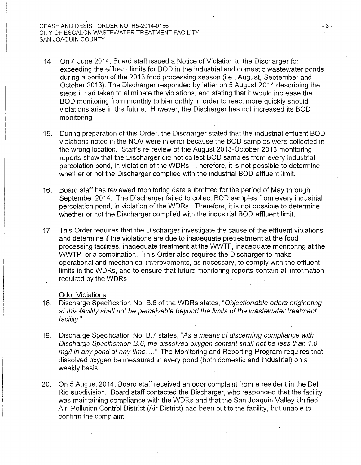- 14. On 4 June 2014, Board staff issued a Notice of Violation to the Discharger for exceeding the effluent limits for BOD in the industrial and domestic wastewater ponds during a portion of the 2013 food processing season (i.e., August, September and October 2013). The Discharger responded by letter on 5 August 2014 describing the steps it had taken to eliminate the violations, and stating that it would increase the BOD monitoring from monthly to bi-monthly in order to react more quickly should violations arise in the future. However, the Discharger has not increased its BOD monitoring.
- 15. · During preparation of this Order, the Discharger stated that the industrial effluent BOD violations noted in the NOV were in error because the BOD samples were collected in the wrong location. Staff's re-review of the August 2013-0ctober 2013 monitoring reports show that the Discharger did not collect BOD samples from every industrial· percolation pond, in violation of the WDRs. Therefore, it is not possible to determine whether or not the Discharger complied with the industrial BOD effluent limit.
- 16. Board staff has reviewed monitoring data submitted for the period of May through September 2014. The Discharger failed to collect BOD samples from every industrial percolation pond, in violation of the WDRs. Therefore, it is not possible to determine whether or not the Discharger complied with the industrial BOD effluent limit.
- 17. This Order requires that the Discharger investigate the cause of the effluent violations and determine if the violations are due to inadequate pretreatment at the food processing facilities, inadequate treatment at the WWTF, inadequate monitoring at the WWTP, or a combination. This Order also requires the Discharger to make operational and mechanical improvements, as necessary, to comply with the effluent limits in the WDRs, and to ensure that future monitoring reports contain all information required by the WDRs.

#### Odor Violations

- 18. Discharge Specification No. B.6 of the WDRs states, "Objectionable odors originating at this facility shall not be perceivable beyond the limits of the wastewater treatment facility."
- 19. Discharge Specification No. B.7 states, "As a means of discerning compliance with Discharge Specification B. 6, the dissolved oxygen content shall not be less than *1.* 0 mg/l in any pond at any time ...." The Monitoring and Reporting Program requires that dissolved oxygen be measured in every pond (both domestic and industrial) on a weekly basis.
- 20. On 5 August 2014, Board staff received an odor complaint from a resident in the Del Rio subdivision. Board staff contacted the Discharger, who responded that the facility was maintaining compliance with the WDRs and that the San Joaquin Valley Unified Air Pollution Control District (Air District) had been out to the facility, but unable to confirm the complaint.

- 3-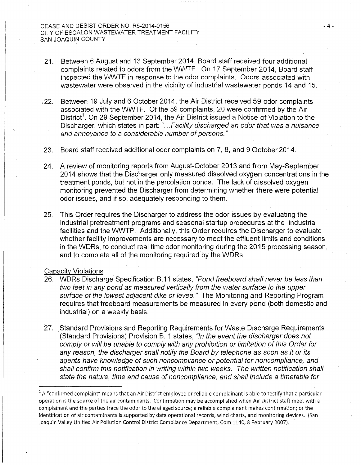- 21. Between 6 August and 13 September 2014, Board staff received four additional complaints related to odors from the WWTF. On 17 September 2014, Board staff inspected the WWTF in response to the odor complaints. Odors associated with wastewater were observed in the vicinity of industrial wastewater ponds 14 and 15.
- , 22. Between 19 July and 6 October 2014, the Air District received 59 odor complaints associated with the WWTF. Of the 59 complaints, 20 were confirmed by the Air District<sup>1</sup>. On 29 September 2014, the Air District issued a Notice of Violation to the Discharger, which states in part: "... Facility discharged an odor that was a nuisance and annoyance to a considerable number of persons."
- 23. Board staff received additional odor complaints on 7, 8, and 9 October2014.
- 24. A review of monitoring reports from August-October 2013 and from May-September 2014 shows that the Discharger only measured dissolved oxygen concentrations in the treatment ponds, but not in the percolation ponds. The lack of dissolved oxygen monitoring prevented the Discharger from determining whether there were potential odor issues, and if so, adequately responding to them.
- 25. This Order requires the Discharger to address the odor issues by evaluating the industrial pretreatment programs and seasonal startup procedures at the industrial facilities and the WWTP. Additionally, this Order requires the Discharger to evaluate whether facility improvements are necessary to meet the effluent limits and conditions in the WDRs, to conduct real time odor monitoring during the 2015 processing season, and to complete all of the monitoring required by the WDRs.

#### Capacity Violations

- 26. WDRs Discharge Specification B.11 states, "Pond freeboard shall never be less than two feet in any pond as measured vertically from the water surface to the upper surface of the lowest adjacent dike or levee." The Monitoring and Reporting Program requires that freeboard measurements be measured in every pond (both domestic and industrial) on a weekly basis.
- 27. Standard Provisions and Reporting Requirements for Waste Discharge Requirements (Standard Provisions) Provision B. 1 states, "In the event the discharger does not comply or will be unable to comply with any prohibition or limitation of this Order for any reason, the discharger shall notify the Board by telephone as soon as it or its agents have knowledge of such noncompliance or potential for noncompliance, and shall confirm this notification in writing within two weeks. The written notification shall state the nature, time and cause of noncompliance, and shall include a timetable for

 $1A$  "confirmed complaint" means that an Air District employee or reliable complainant is able to testify that a particular operation is the source of the air contaminants. Confirmation may be accomplished when Air District staff meet with a complainant and the parties trace the odor to the alleged source; a reliable complainant makes confirmation; or the identification of air contaminants is supported by data operational records, wind charts, and monitoring devices. {San Joaquin Valley Unified Air Pollution Control District Compliance Department, Com 1140, 8 February 2007).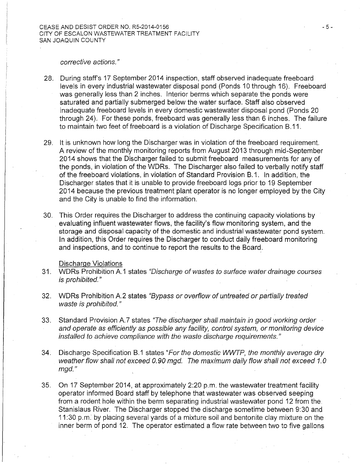#### corrective actions."

- 28. During staff's 17 September 2014 inspection, staff observed inadequate freeboard levels in every industrial wastewater disposal pond (Ponds 10 through 16). Freeboard was generally less than 2 inches. Interior berms which separate the ponds were saturated and partially submerged below the water surface. Staff also observed inadequate freeboard levels in every domestic wastewater disposal pond (Ponds 20 through 24). For these ponds, freeboard was generally less than 6 inches. The failure to maintain two feet of freeboard is a violation of Discharge Specification 8.11.
- 29. It is unknown how long the Discharger was in violation of the freeboard requirement. A review of the monthly monitoring reports from August 2013 through mid-September 2014 shows that the Discharger failed to submit freeboard measurements for any of the ponds, in violation of the WDRs. The Discharger also failed to verbally notify staff of the freeboard violations, in violation of Standard Provision B.1. In addition, the Discharger states that it is unable to provide freeboard logs prior to 19 September 2014 because the previous treatment plant operator is no longer employed by the City and the City is unable to find the information.
- 30. This Order requires the Discharger to address the continuing capacity violations by evaluating influent wastewater flows, the facility's flow monitoring system, and the storage and disposal capacity of the domestic and industrial wastewater pond system. In addition, this Order requires the Discharger to conduct daily freeboard monitoring and inspections, and to continue to report the results to the Board.

#### Discharge Violations

- 31. WDRs Prohibition A.1 states "Discharge of wastes to surface water drainage courses is prohibited."
- 32. WDRs Prohibition A.2 states "Bypass or overflow of untreated or partially treated waste is prohibited."
- 33. Standard Provision A.7 states "The discharger shall maintain in good working order and operate as efficiently as possible any facility, control system, or monitoring device installed to achieve compliance with the waste discharge requirements."
- 34. Discharge Specification B.1 states "For the domestic WWTP, the monthly average dry weather flow shall not exceed 0. 90 mgd. The maximum daily flow shall not exceed 1. 0 mgd."
- 35. On 17 September 2014, at approximately 2:20 p.m. the wastewater treatment facility operator informed Board staff by telephone that wastewater was observed seeping from a rodent hole within the berm separating industrial wastewater pond 12 from the. Stanislaus River. The Discharger stopped the discharge sometime between 9:30 and 11:30 p.m.· by placing several yards of a mixture soil and bentonite clay mixture on the inner berm of pond 12. The operator estimated a flow rate between two to five gallons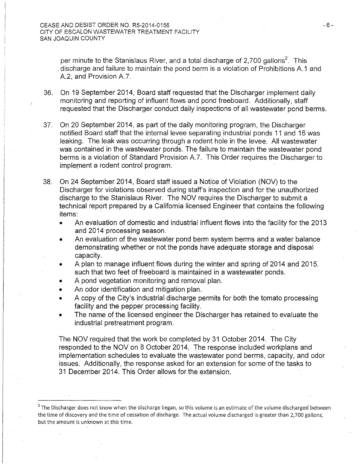per minute to the Stanislaus River, and a total discharge of 2,700 gallons $^{\text{\text{2}}}$ . This . discharge and failure to maintain the pond berm is a violation of Prohibitions A.1 and A.2, and Provision A.7.

- 36. On 19 September 2014, Board staff requested that the Discharger implement daily monitoring and reporting of influent flows and pond freeboard. Additionally, staff requested that the Discharger conduct daily inspections of all wastewater pond berms.
- 37. On 20 September 2014, as part of the daily monitoring program, the Discharger notified Board staff that the internal levee separating industrial ponds 11 and 16 was leaking. The leak was occurring through a rodent hole in the levee. All wastewater was contained in the wastewater ponds. The failure to maintain the wastewater pond berms is a violation of Standard Provision A.7. This Order requires the Discharger to implement a rodent control program.
- 38. On 24 September 2014, Board staff issued a Notice of Violation (NOV) to the Discharger for violations observed during staff's inspection and for the unauthorized discharge to the Stanislaus River. The NOV requires the Discharger to submit a technical report prepared by a California licensed Engineer that contains the following items:
	- An evaluation of domestic and industrial influent flows into the facility for the 2013 and 2014 processing season.
	- An evaluation of the wastewater pond berm system berms and a water balance demonstrating whether or not the ponds have adequate storage and disposal capacity.
	- A plan to manage influent flows during the winter and spring of 2014 and 2015. such that two feet of freeboard is maintained in a wastewater ponds.
	- A pond vegetation monitoring and removal plan.
	- An odor identification and mitigation plan.
	- A copy of the City's industrial discharge permits for both the tomato processing facility and the pepper processing facility.
	- The name of the licensed engineer the Discharger has retained to evaluate the industrial pretreatment program.

The NOV required that the work be completed by 31 October 2014. The City responded to the NOV on 8 October 2014. The response included workplans and implementation schedules to evaluate the wastewater pond berms, capacity, and odor issues. Additionally, the response asked for an extension for some of the tasks to 31 December 2014. This Order allows for the extension.

- 6-

 $2$  The Discharger does not know when the discharge began, so this volume is an estimate of the volume discharged between the time of discovery and the time of cessation of discharge. The actual volume discharged is greater than 2,700 gallons; but the amount is unknown at this time.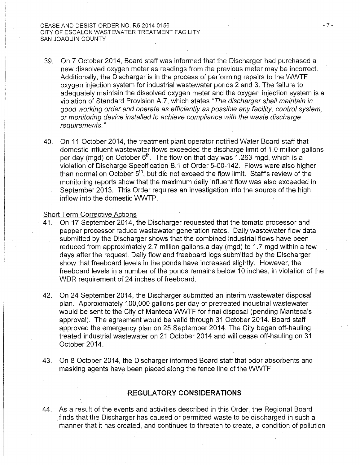- 39. On 7 October 2014, Board staff was informed that the Discharger had purchased a new dissolved oxygen meter as readings from the previous meter may be incorrect. Additionally, the Discharger is in the process of performing repairs to the WWTF oxygen injection system for industrial wastewater ponds 2 and 3. The failure to adequately maintain the dissolved oxygen meter and the oxygen injection system is a violation of Standard Provision A.?, which states "The discharger shall maintain in good working order and operate as efficiently as possible any facility, control system, or monitoring device installed to achieve compliance with the waste discharge requirements."
- 40. On 11 October 2014, the treatment plant operator notified Water Board staff that domestic influent wastewater flows exceeded the discharge limit of 1.0 million gallons per day (mgd) on October 6<sup>th</sup>. The flow on that day was 1.263 mgd, which is a violation of Discharge Specification B.1 of Order 5-00-142. Flows were also higher than normal on October 5<sup>th</sup>, but did not exceed the flow limit. Staff's review of the monitoring reports show that the maximum daily influent flow was also exceeded in September 2013. This Order requires an investigation into the source of the high inflow into the domestic WWTP.

#### Short Term Corrective Actions

- 41. On 17 September 2014, the Discharger requested that the tomato processor and pepper processor reduce wastewater generation rates. Daily wastewater flow data submitted by the Discharger shows that the combined industrial flows have been reduced from approximately 2.7 million gallons a day (mgd) to 1.7 mgd within a few days after the request. Daily flow and freeboard logs submitted by the Discharger show that freeboard levels in the ponds have increased slightly. However, the freeboard levels in a number of the ponds remains below 10 inches, in violation of the WDR requirement of 24 inches of freeboard.
- 42. On 24 September 2014, the Discharger submitted an interim wastewater disposal plan. Approximately 1 00,000 gallons per day of pretreated industrial wastewater would be sent to the City of Manteca WWTF for final disposal (pending Manteca's approval). The agreement would be valid through 31 October 2014. Board staff approved the emergency plan on 25 September 2014. The City began off-hauling treated industrial wastewater on 21 October 2014 and will cease off-hauling on 31 October 2014.
- 43. On 8 October 2014, the Discharger informed Board staff that odor absorbents and masking agents have been placed along the fence line of the WWTF.

## **REGULATORY CONSIDERATIONS**

44. As a result of the events and activities described in this Order, the Regional Board finds that the Discharger has caused or permitted waste to be discharged in such a manner that it has created, and continues to threaten to create, a condition of pollution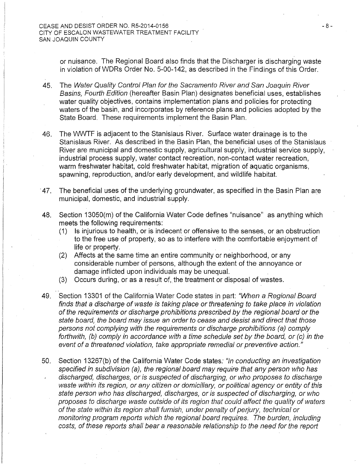or nuisance. The Regional Board also finds that the Discharger is discharging waste in violation of WDRs Order No. 5-00-142, as described in the Findings of this Order.

- 45. The Water Quality Control Plan for the Sacramento River and San Joaquin River Basins, Fourth Edition (hereafter Basin Plan) designates beneficial uses, establishes water quality objectives, contains implementation plans and policies for protecting waters of the basin, and incorporates by reference plans and policies adopted by the State Board. These requirements implement the Basin Plan.
- 46. The WWTF is adjacent to the Stanislaus River. Surface water drainage is to the Stanislaus River. As described in the Basin Plan, the beneficial uses of the Stanislaus River are municipal and domestic supply, agricultural supply, industrial service supply, industrial process supply, water contact recreation, non-contact water recreation, warm freshwater habitat, cold freshwater habitat, migration of aquatic organisms, spawning, reproduction, and/or early development, and wildlife habitat.
- · 47. The beneficial uses of the underlying groundwater, as specified in the Basin Plan are municipal, domestic, and industrial supply.
- 48. Section 13050(m) of the California Water Code defines "nuisance" as anything which meets the following requirements:
	- (1) Is injurious to health, or is indecent or offensive to the senses, or an obstruction to the free use of property, so as to interfere with the comfortable enjoyment of life or property.
	- (2) Affects at the same time an entire community or neighborhood, or any considerable number of persons, although the extent of the annoyance or damage inflicted upon individuals may be unequal.
	- (3) Occurs during, or as a result of, the treatment or disposal of wastes.

·'

- 49. Section 13301 of the California Water Code states in part: "When a Regional Board" finds that a discharge of waste is taking place or threatening to take place in violation of the requirements or discharge prohibitions prescribed by the regional board or the state board, the board may issue an order to cease and desist and direct that those persons not complying with the requirements or discharge prohibitions (a) comply forthwith, (b) comply in accordance with a time schedule set by the board, or (c) in the event of a threatened violation, take appropriate remedial or preventive action."
- 50. Section 13267(b) of the California Water Code states: "In conducting an investigation specified in subdivision (a), the regional board may require that any person who has discharged, discharges, or is suspected of discharging, or who proposes to discharge waste within its region, or any citizen or domiciliary, or political agency or entity of this state person who has discharged, discharges, or is suspected of discharging, or who proposes to discharge waste outside of its region that could affect the quality of waters of the state within its region shall furnish, under penalty of perjury, technical or monitoring program reports which the regional board requires. The burden, including costs; of these reports shall bear a reasonable relationship to the need for the report

- 8-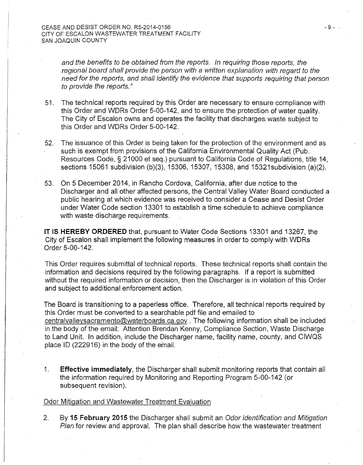and the benefits to be obtained from the reports. In requiring those reports, the regional board shall provide the person with a written explanation with regard to the need for the reports, and shall identify the evidence that supports requiring that person to provide the reports."

- 51. The technical reports required by this Order are necessary to ensure compliance with this Order and WDRs Order 5-00-142, and to ensure the protection of water quality. The City of Escalon owns and operates the facility that discharges waste subject to this Order and WDRs Order 5-00-142.
- 52. The issuance of this Order is being taken for the protection of the environment and as such is exempt from provisions of the California Environmental Quality Act (Pub. Resources Code, § 21000 et seq.) pursuant to California Code of Regulations, title 14, sections 15061 subdivision (b)(3), 15306, 15307, 15308, and 15321 subdivision (a)(2).
- 53. On 5 December 2014, in Rancho Cordova, California, after due notice to the Discharger and all other affected persons, the Central Valley Water Board conducted a public hearing at which evidence was received to consider a Cease and Desist Order under Water Code section 13301 to establish a time schedule to achieve compliance with waste discharge requirements.

IT IS **HEREBY ORDERED** that, pursuant to Water Code Sections 13301 and 13267, the City of Escalon shall implement the following measures in order to comply-with WDRs Order 5-00-142.

This Order requires submittal of technical reports. These-technical reports shall contain the information and decisions required by the following paragraphs. If a report is submitted without the required information or decision, then the Discharger is in violation of this Order and subject to additional enforcement action.

The Board is transitioning to a paperless office. Therefore, all technical reports required by this Order must be converted to a searchable pdf file and em ailed to centralvalleysacramento@waterboards.ca.gov . The following information shall be included in the body of the email: Attention Brendan Kenny, Compliance Section, Waste Discharge to Land Unit. In addition, include the Discharger name, facility name, county, and CIWQS place ID (222916) in the body of the email.

1. **Effective immediately**, the Discharger shall submit monitoring reports that contain all the information required by Monitoring and Reporting Program 5-00-142 (or subsequent revision).

### Odor Mitigation and Wastewater Treatment Evaluation

2. By 15 February 2015 the Discharger shall submit an Odor Identification and Mitigation Plan for review and approval. The plan shall describe how the wastewater treatment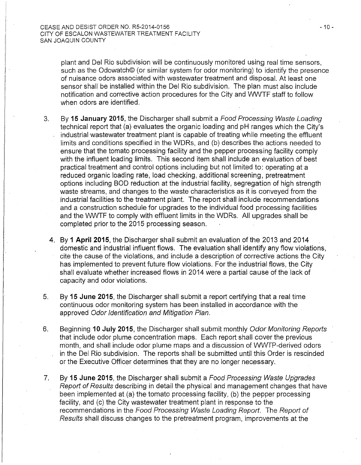plant and Del Rio subdivision will be continuously monitored using real time sensors, such as the Odowatch© (or similar system for odor monitoring) to identify the presence of nuisance odors associated with wastewater treatment and disposal. At least one sensor shall be installed within the Del Rio subdivision. The plan must also include notification and corrective action procedures for the City and VWVTF staff to follow when odors are identified.

- 3. By 15 **January 2015,** the Discharger shall submit a Food Processing Waste Loading technical report that (a) evaluates the organic loading and pH ranges which the City's industrial wastewater treatment plant is capable of treating while meeting the effluent limits and conditions specified in the WDRs, and (b) describes the actions needed to ensure that the tomato processing facility and the pepper processing facility comply with the influent loading limits. This second item shall include an evaluation of best practical treatment and control options including but not limited to: operating at a reduced organic loading rate, load checking, additional screening, pretreatment options including BOD reduction at the industrial facility, segregation of high strength waste streams, and changes to the waste characteristics as it is conveyed from the industrial facilities to the treatment plant. The report shall include recommendations and a construction schedule for upgrades to the individual food processing facilities and the WWTF to comply with effluent limits in the WDRs. All upgrades shall be completed prior to the 2015 processing season.
	- 4. By **1 April 2015,** the Discharger shall submit an evaluation of the 2013 and 2014 domestic and industrial influent flows. The evaluation shall identify any flow violations, cite the cause of the violations, and include a description of corrective actions the City has implemented to prevent future flow violations. For the industrial flows, the City shall evaluate whether increased flows in 2014 were a partial cause of the lack of capacity and odor violations.
- 5. By **15 June 2015,** the Discharger shall submit a report certifying that a real time continuous odor monitoring system has been installed in accordance with the approved Odor Identification and Mitigation Plan.
- 6. Beginning **10 July 2015,** the Discharger shall submit monthly Odor Monitoring Reports that include odor plume concentration maps. Each report shall cover the previous month, and shall include odor plume maps and a discussion of WWTP-derived odors in the Del Rio subdivision. The reports shall be submitted until this Order is rescinded or the Executive Officer determines that they are no longer necessary.
- 7. By **15 June 2015,** the Discharger shall submit a Food Processing Waste Upgrades Report of Results describing in detail the physical and management changes that have been implemented at (a) the tomato processing facility, (b) the pepper processing facility, and (c) the City wastewater treatment plant in response to the recommendations in the Food Processing Waste Loading Report. The Report of Results shall discuss changes to the pretreatment program, improvements at the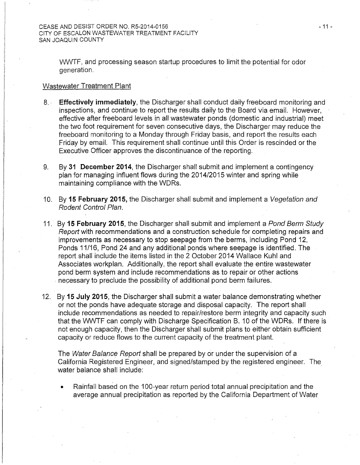WWTF, and processing season startup procedures to limit the potential for odor generation.

#### Wastewater Treatment Plant

- 8. **Effectively immediately**, the Discharger shall conduct daily freeboard monitoring and inspections, and continue to report the results daily to the Board via email. However, effective after freeboard levels in all wastewater ponds (domestic and industrial) meet the two foot requirement for seven consecutive days, the Discharger may reduce the freeboard monitoring to a Monday through Friday basis, and report the results each Friday by email. This requirement shall continue until this Order is rescinded or the Executive Officer approves the discontinuance of the reporting.
- 9. By 31 December 2014, the Discharger shall submit and implement a contingency plan for managing influent flows during the 2014/2015 winter and spring while maintaining compliance with the WDRs.
- 10. By 15 February 2015, the Discharger shall submit and implement a Vegetation and Rodent Control Plan.
- 11. By 15 February 2015, the Discharger shall submit and implement a Pond Berm Study Report with recommendations and a construction schedule for completing repairs and improvements as necessary to stop seepage from the berms, including Pond 12, Ponds 11/16, Pond 24 and any additional ponds where seepage is identified. The report shall include the items listed in the 2 October 2014 Wallace Kuhl and Associates workplan. Additionally, the report shall evaluate the entire wastewater pond berm system and include recommendations as to repair or other actions . necessary to preclude the possibility of additional pond berm failures.
- 12. By 15 July 2015, the Discharger shall submit a water balance demonstrating whether or not the ponds have adequate storage and disposal capacity. The report shall include recommendations as needed to repair/restore berm integrity and capacity such that the WWTF can comply with Discharge Specification B. 10 of the WDRs. If there is not enough capacity, then the Discharger shall submit plans to either obtain sufficient capacity or reduce flows to the current capacity of the treatment plant.

The Water Balance Report shall be prepared by or under the supervision of a California Registered Engineer, and signed/stamped by the registered engineer. The water balance shall include:

Rainfall based on the 100-year return period total annual precipitation and the average annual precipitation as reported by the California Department of Water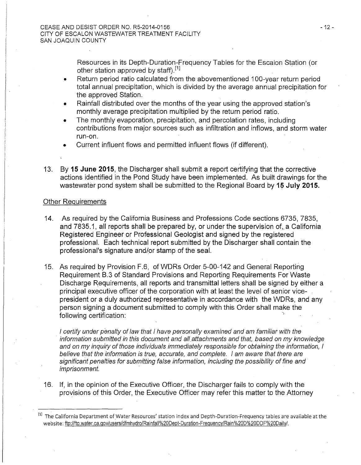Resources in its Depth-Duration-Frequency Tables for the Escalon Station (or other station approved by staff).<sup>[1]</sup> l and the set of the set of the set of the set of the set of the set of the set of the set of the set of the s

- Return period ratio calculated from the abovementioned 100-year return period total annual precipitation, which is divided by the average annual precipitation for the approved Station.
- Rainfall distributed over the months of the year using the approved station's monthly average precipitation multiplied by the return period ratio.
- The monthly evaporation, precipitation, and percolation rates, including contributions from major sources such as infiltration and inflows, and storm water run-on.
- Current influent flows and permitted influent flows (if different).
- 13. By **15 June 2015,** the Discharger shall submit a report certifying that the corrective actions identified in the Pond Study have been implemented. As built drawings for the wastewater pond system shall be submitted to the Regional Board by 15 July 2015.

## Other Requirements

- 14. As required by the California Business and Professions Code sections 6735, 7835, and 7835.1, all reports shall be prepared by, or under the supervision of,. a California Registered Engineer or Professional Geologist and signed by the registered professional. Each technical report submitted by the Discharger shall contain the professional's signature and/or stamp of the seal.
- 15. As required by Provision F.6, of WDRs Order 5-00-142 and General Reporting Requirement B.3 of Standard Provisions and Reporting Requirements For Waste Discharge Requirements, all reports and transmittal letters shall be signed by either a principal executive officer of the corporation with at least the level of senior vicepresident or a duly authorized representative in accordance with the WDRs, and any person signing a document submitted to comply with this Order shall make the following certification:

I certify under penalty of law that I have personally examined and am familiar with the information submitted in this document and all attachments and that, based on my knowledge and on my inquiry of those individuals immediately responsible for obtaining the information, I believe that the information is true, accurate, and complete. I am aware that there are significant penalties for submitting false information, including the possibility of fine and imprisonment.

16. If, in the opinion of the Executive Officer, the Discharger fails to comply with the provisions of this Order, the Executive Officer may refer this matter to the Attorney

- 12-

<sup>&</sup>lt;sup>[1]</sup> The California Department of Water Resources' station index and Depth-Duration-Frequency tables are available at the website: ftp://ftp.water.ca.gov/users/dfmhydro/Rainfaii%20Dept-Duration-Frequency/Rain%20D%20DDF%20Daily/.